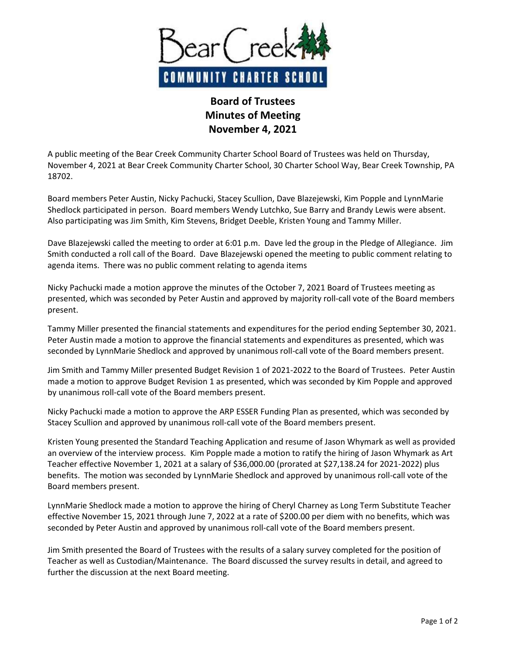

## **Board of Trustees Minutes of Meeting November 4, 2021**

A public meeting of the Bear Creek Community Charter School Board of Trustees was held on Thursday, November 4, 2021 at Bear Creek Community Charter School, 30 Charter School Way, Bear Creek Township, PA 18702.

Board members Peter Austin, Nicky Pachucki, Stacey Scullion, Dave Blazejewski, Kim Popple and LynnMarie Shedlock participated in person. Board members Wendy Lutchko, Sue Barry and Brandy Lewis were absent. Also participating was Jim Smith, Kim Stevens, Bridget Deeble, Kristen Young and Tammy Miller.

Dave Blazejewski called the meeting to order at 6:01 p.m. Dave led the group in the Pledge of Allegiance. Jim Smith conducted a roll call of the Board. Dave Blazejewski opened the meeting to public comment relating to agenda items. There was no public comment relating to agenda items

Nicky Pachucki made a motion approve the minutes of the October 7, 2021 Board of Trustees meeting as presented, which was seconded by Peter Austin and approved by majority roll-call vote of the Board members present.

Tammy Miller presented the financial statements and expenditures for the period ending September 30, 2021. Peter Austin made a motion to approve the financial statements and expenditures as presented, which was seconded by LynnMarie Shedlock and approved by unanimous roll-call vote of the Board members present.

Jim Smith and Tammy Miller presented Budget Revision 1 of 2021-2022 to the Board of Trustees. Peter Austin made a motion to approve Budget Revision 1 as presented, which was seconded by Kim Popple and approved by unanimous roll-call vote of the Board members present.

Nicky Pachucki made a motion to approve the ARP ESSER Funding Plan as presented, which was seconded by Stacey Scullion and approved by unanimous roll-call vote of the Board members present.

Kristen Young presented the Standard Teaching Application and resume of Jason Whymark as well as provided an overview of the interview process. Kim Popple made a motion to ratify the hiring of Jason Whymark as Art Teacher effective November 1, 2021 at a salary of \$36,000.00 (prorated at \$27,138.24 for 2021-2022) plus benefits. The motion was seconded by LynnMarie Shedlock and approved by unanimous roll-call vote of the Board members present.

LynnMarie Shedlock made a motion to approve the hiring of Cheryl Charney as Long Term Substitute Teacher effective November 15, 2021 through June 7, 2022 at a rate of \$200.00 per diem with no benefits, which was seconded by Peter Austin and approved by unanimous roll-call vote of the Board members present.

Jim Smith presented the Board of Trustees with the results of a salary survey completed for the position of Teacher as well as Custodian/Maintenance. The Board discussed the survey results in detail, and agreed to further the discussion at the next Board meeting.